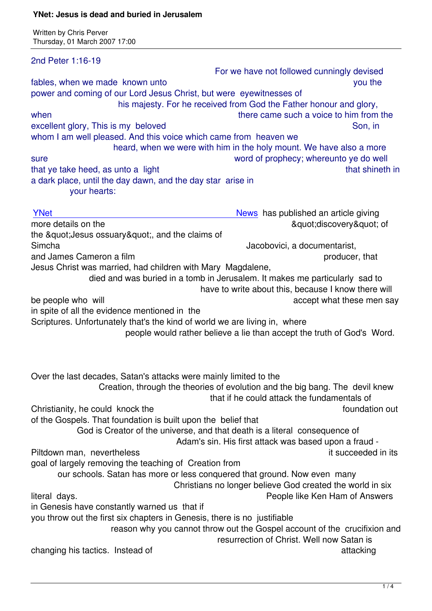| 2nd Peter 1:16-19                                                                                                           |                                                                                                               |
|-----------------------------------------------------------------------------------------------------------------------------|---------------------------------------------------------------------------------------------------------------|
| fables, when we made known unto                                                                                             | For we have not followed cunningly devised<br>you the                                                         |
| power and coming of our Lord Jesus Christ, but were eyewitnesses of                                                         |                                                                                                               |
| when                                                                                                                        | his majesty. For he received from God the Father honour and glory,<br>there came such a voice to him from the |
| excellent glory, This is my beloved                                                                                         | Son, in                                                                                                       |
| whom I am well pleased. And this voice which came from heaven we                                                            |                                                                                                               |
|                                                                                                                             | heard, when we were with him in the holy mount. We have also a more                                           |
| sure                                                                                                                        | word of prophecy; whereunto ye do well                                                                        |
| that ye take heed, as unto a light                                                                                          | that shineth in                                                                                               |
| a dark place, until the day dawn, and the day star arise in                                                                 |                                                                                                               |
| your hearts:                                                                                                                |                                                                                                               |
| <b>YNet</b>                                                                                                                 | News has published an article giving                                                                          |
| more details on the                                                                                                         | "discovery" of                                                                                                |
| the " Jesus ossuary", and the claims of                                                                                     |                                                                                                               |
| Simcha                                                                                                                      | Jacobovici, a documentarist,                                                                                  |
| and James Cameron a film                                                                                                    | producer, that                                                                                                |
| Jesus Christ was married, had children with Mary Magdalene,                                                                 |                                                                                                               |
|                                                                                                                             | died and was buried in a tomb in Jerusalem. It makes me particularly sad to                                   |
|                                                                                                                             | have to write about this, because I know there will                                                           |
| be people who will                                                                                                          | accept what these men say                                                                                     |
| in spite of all the evidence mentioned in the<br>Scriptures. Unfortunately that's the kind of world we are living in, where |                                                                                                               |
|                                                                                                                             | people would rather believe a lie than accept the truth of God's Word.                                        |
|                                                                                                                             |                                                                                                               |
|                                                                                                                             |                                                                                                               |
| Over the last decades, Satan's attacks were mainly limited to the                                                           |                                                                                                               |
|                                                                                                                             | Creation, through the theories of evolution and the big bang. The devil knew                                  |
|                                                                                                                             | that if he could attack the fundamentals of<br>foundation out                                                 |
| Christianity, he could knock the<br>of the Gospels. That foundation is built upon the belief that                           |                                                                                                               |
|                                                                                                                             | God is Creator of the universe, and that death is a literal consequence of                                    |
|                                                                                                                             | Adam's sin. His first attack was based upon a fraud -                                                         |
| Piltdown man, nevertheless                                                                                                  | it succeeded in its                                                                                           |
| goal of largely removing the teaching of Creation from                                                                      |                                                                                                               |
| our schools. Satan has more or less conquered that ground. Now even many                                                    |                                                                                                               |
|                                                                                                                             | Christians no longer believe God created the world in six                                                     |
| literal days.                                                                                                               | People like Ken Ham of Answers                                                                                |
| in Genesis have constantly warned us that if                                                                                |                                                                                                               |
| you throw out the first six chapters in Genesis, there is no justifiable                                                    |                                                                                                               |
|                                                                                                                             | reason why you cannot throw out the Gospel account of the crucifixion and                                     |
| changing his tactics. Instead of                                                                                            | resurrection of Christ. Well now Satan is                                                                     |
|                                                                                                                             | attacking                                                                                                     |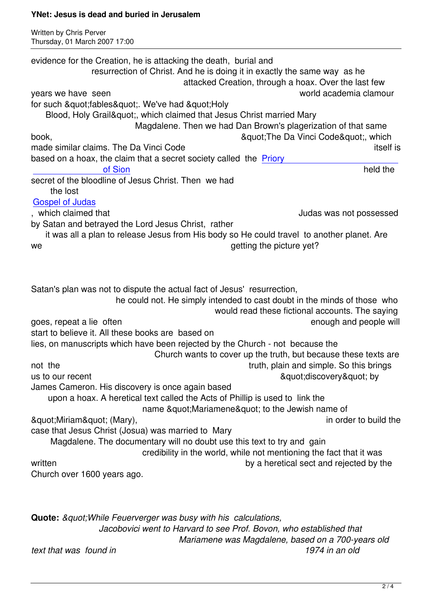Written by Christian by Christian by Christian by Christian by Christian by Christian by Christian by Christian

evidence for the Creation, he is attacking the death, burial and resurrection of Christ. And he is doing it in exactly the same way as he attacked Creation, through a hoax. Over the last few years we have seen world academia clamour for such "fables". We've had "Holy Blood, Holy Grail", which claimed that Jesus Christ married Mary Magdalene. Then we had Dan Brown's plagerization of that same book, "The Da Vinci Code & quot; The Da Vinci Code & quot; which made similar claims. The Da Vinci Code itself is a state of the state itself is itself is based on a hoax, the claim that a secret society called the Priory of Sion and the settlement of Sion held the settlement of Sion held the settlement of Sion held the settlement of  $\mathbb{S}$ secret of the bloodline of Jesus Christ. Then we had the lost [Gospel of Judas](http://en.wikipedia.org/wiki/Priory_of_Sion) , which claimed that Judas was not possessed by Satan and betrayed the Lord Jesus Christ, rather  [it was all a pla](apr06.html#4-4-2)n to release Jesus from His body so He could travel to another planet. Are we we getting the picture yet? Satan's plan was not to dispute the actual fact of Jesus' resurrection, he could not. He simply intended to cast doubt in the minds of those who would read these fictional accounts. The saying goes, repeat a lie often enough and people will all the state of the enough and people will start to believe it. All these books are based on lies, on manuscripts which have been rejected by the Church - not because the Church wants to cover up the truth, but because these texts are not the truth, plain and simple. So this brings us to our recent  $\alpha$  and  $\alpha$  and  $\alpha$  and  $\alpha$  and  $\alpha$  and  $\alpha$  and  $\alpha$  and  $\alpha$  and  $\alpha$  and  $\alpha$  and  $\alpha$  and  $\alpha$  and  $\alpha$  and  $\alpha$  and  $\alpha$  and  $\alpha$  and  $\alpha$  and  $\alpha$  and  $\alpha$  and  $\alpha$  and  $\alpha$  and  $\alpha$  and  $\alpha$  an James Cameron. His discovery is once again based upon a hoax. A heretical text called the Acts of Phillip is used to link the name & quot: Mariamene & quot: to the Jewish name of  $\alpha$  and  $\beta$  in order to build the sequence of  $\alpha$  in order to build the sequence of  $\alpha$ case that Jesus Christ (Josua) was married to Mary Magdalene. The documentary will no doubt use this text to try and gain credibility in the world, while not mentioning the fact that it was written **by a heretical sect and rejected by the** Church over 1600 years ago. **Quote:** " While Feuerverger was busy with his calculations,

 *Jacobovici went to Harvard to see Prof. Bovon, who established that Mariamene was Magdalene, based on a 700-years old text that was found in 1974 in an old*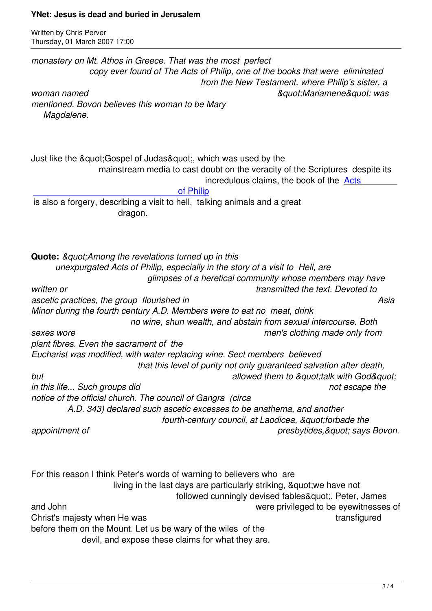*monastery on Mt. Athos in Greece. That was the most perfect copy ever found of The Acts of Philip, one of the books that were eliminated from the New Testament, where Philip's sister, a woman named "Mariamene" was mentioned. Bovon believes this woman to be Mary Magdalene.* Just like the " Gospel of Judas", which was used by the mainstream media to cast doubt on the veracity of the Scriptures despite its incredulous claims, the book of the Acts of Philip is also a forgery, describing a visit to hell, talking animals and a great dragon. **Quote:** &quot: Among the revelations turned up in this  *unexpurgated Acts of Philip, especially in the story of a visit to Hell, are glimpses of a heretical community whose members may have written or transmitted the text. Devoted to* ascetic practices, the group flourished in Asia and Asia and Asia and Asia and Asia and Asia and Asia and Asia *Minor during the fourth century A.D. Members were to eat no meat, drink no wine, shun wealth, and abstain from sexual intercourse. Both sexes wore men's clothing made only from plant fibres. Even the sacrament of the Eucharist was modified, with water replacing wine. Sect members believed that this level of purity not only guaranteed salvation after death,*  **but** allowed them to &quot: talk with God&quot: *in this life... Such groups did*  $\blacksquare$ *notice of the official church. The council of Gangra (circa A.D. 343) declared such ascetic excesses to be anathema, and another*  fourth-century council, at Laodicea, &quot:forbade the appointment of *appointment* of *presbytides, & quot; says Bovon.* For this reason I think Peter's words of warning to believers who are living in the last days are particularly striking, & quot; we have not followed cunningly devised fables&quot:. Peter, James and John were privileged to be eyewitnesses of Christ's majesty when He was transfigured before them on the Mount. Let us be wary of the wiles of the

devil, and expose these claims for what they are.